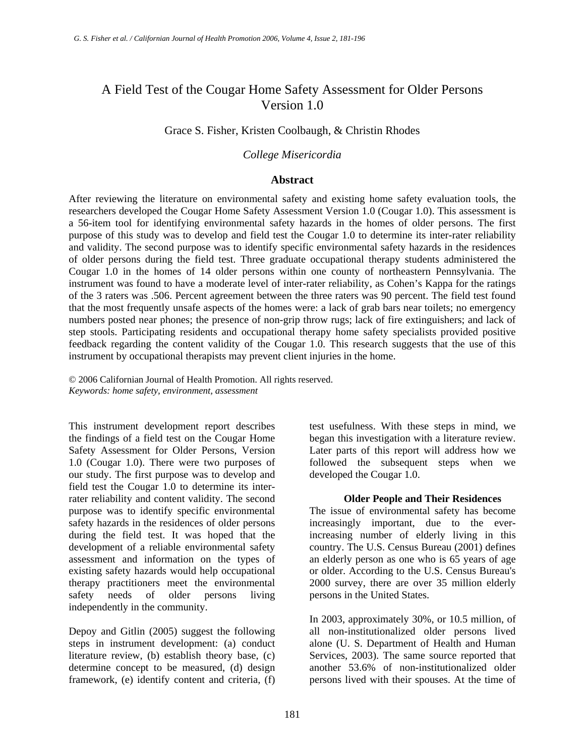# A Field Test of the Cougar Home Safety Assessment for Older Persons Version 1.0

# Grace S. Fisher, Kristen Coolbaugh, & Christin Rhodes

#### *College Misericordia*

#### **Abstract**

After reviewing the literature on environmental safety and existing home safety evaluation tools, the researchers developed the Cougar Home Safety Assessment Version 1.0 (Cougar 1.0). This assessment is a 56-item tool for identifying environmental safety hazards in the homes of older persons. The first purpose of this study was to develop and field test the Cougar 1.0 to determine its inter-rater reliability and validity. The second purpose was to identify specific environmental safety hazards in the residences of older persons during the field test. Three graduate occupational therapy students administered the Cougar 1.0 in the homes of 14 older persons within one county of northeastern Pennsylvania. The instrument was found to have a moderate level of inter-rater reliability, as Cohen's Kappa for the ratings of the 3 raters was .506. Percent agreement between the three raters was 90 percent. The field test found that the most frequently unsafe aspects of the homes were: a lack of grab bars near toilets; no emergency numbers posted near phones; the presence of non-grip throw rugs; lack of fire extinguishers; and lack of step stools. Participating residents and occupational therapy home safety specialists provided positive feedback regarding the content validity of the Cougar 1.0. This research suggests that the use of this instrument by occupational therapists may prevent client injuries in the home.

© 2006 Californian Journal of Health Promotion. All rights reserved. *Keywords: home safety, environment, assessment* 

This instrument development report describes the findings of a field test on the Cougar Home Safety Assessment for Older Persons, Version 1.0 (Cougar 1.0). There were two purposes of our study. The first purpose was to develop and field test the Cougar 1.0 to determine its interrater reliability and content validity. The second purpose was to identify specific environmental safety hazards in the residences of older persons during the field test. It was hoped that the development of a reliable environmental safety assessment and information on the types of existing safety hazards would help occupational therapy practitioners meet the environmental safety needs of older persons living independently in the community.

Depoy and Gitlin (2005) suggest the following steps in instrument development: (a) conduct literature review, (b) establish theory base, (c) determine concept to be measured, (d) design framework, (e) identify content and criteria, (f)

test usefulness. With these steps in mind, we began this investigation with a literature review. Later parts of this report will address how we followed the subsequent steps when we developed the Cougar 1.0.

#### **Older People and Their Residences**

The issue of environmental safety has become increasingly important, due to the everincreasing number of elderly living in this country. The U.S. Census Bureau (2001) defines an elderly person as one who is 65 years of age or older. According to the U.S. Census Bureau's 2000 survey, there are over 35 million elderly persons in the United States.

In 2003, approximately 30%, or 10.5 million, of all non-institutionalized older persons lived alone (U. S. Department of Health and Human Services, 2003). The same source reported that another 53.6% of non-institutionalized older persons lived with their spouses. At the time of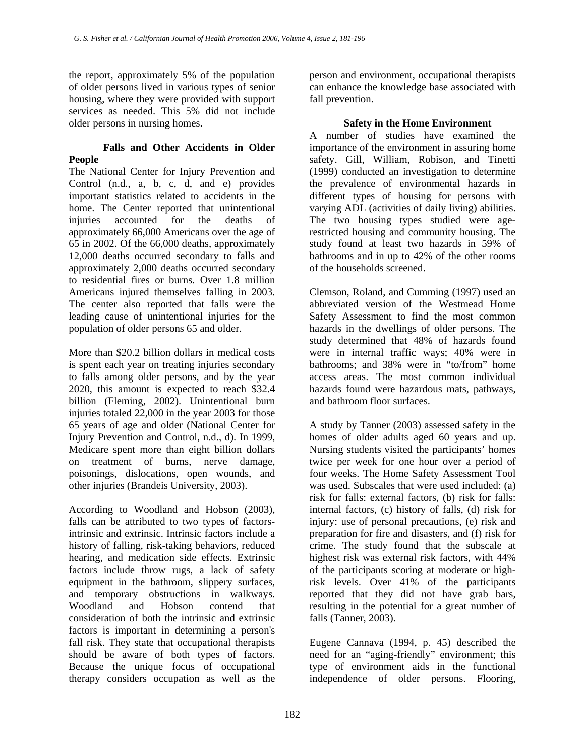the report, approximately 5% of the population of older persons lived in various types of senior housing, where they were provided with support services as needed. This 5% did not include older persons in nursing homes.

#### **Falls and Other Accidents in Older People**

The National Center for Injury Prevention and Control (n.d., a, b, c, d, and e) provides important statistics related to accidents in the home. The Center reported that unintentional injuries accounted for the deaths of approximately 66,000 Americans over the age of 65 in 2002. Of the 66,000 deaths, approximately 12,000 deaths occurred secondary to falls and approximately 2,000 deaths occurred secondary to residential fires or burns. Over 1.8 million Americans injured themselves falling in 2003. The center also reported that falls were the leading cause of unintentional injuries for the population of older persons 65 and older.

More than \$20.2 billion dollars in medical costs is spent each year on treating injuries secondary to falls among older persons, and by the year 2020, this amount is expected to reach \$32.4 billion (Fleming, 2002). Unintentional burn injuries totaled 22,000 in the year 2003 for those 65 years of age and older (National Center for Injury Prevention and Control, n.d., d). In 1999, Medicare spent more than eight billion dollars on treatment of burns, nerve damage, poisonings, dislocations, open wounds, and other injuries (Brandeis University, 2003).

According to Woodland and Hobson (2003), falls can be attributed to two types of factorsintrinsic and extrinsic. Intrinsic factors include a history of falling, risk-taking behaviors, reduced hearing, and medication side effects. Extrinsic factors include throw rugs, a lack of safety equipment in the bathroom, slippery surfaces, and temporary obstructions in walkways. Woodland and Hobson contend that consideration of both the intrinsic and extrinsic factors is important in determining a person's fall risk. They state that occupational therapists should be aware of both types of factors. Because the unique focus of occupational therapy considers occupation as well as the

person and environment, occupational therapists can enhance the knowledge base associated with fall prevention.

## **Safety in the Home Environment**

A number of studies have examined the importance of the environment in assuring home safety. Gill, William, Robison, and Tinetti (1999) conducted an investigation to determine the prevalence of environmental hazards in different types of housing for persons with varying ADL (activities of daily living) abilities. The two housing types studied were agerestricted housing and community housing. The study found at least two hazards in 59% of bathrooms and in up to 42% of the other rooms of the households screened.

Clemson, Roland, and Cumming (1997) used an abbreviated version of the Westmead Home Safety Assessment to find the most common hazards in the dwellings of older persons. The study determined that 48% of hazards found were in internal traffic ways; 40% were in bathrooms; and 38% were in "to/from" home access areas. The most common individual hazards found were hazardous mats, pathways, and bathroom floor surfaces.

A study by Tanner (2003) assessed safety in the homes of older adults aged 60 years and up. Nursing students visited the participants' homes twice per week for one hour over a period of four weeks. The Home Safety Assessment Tool was used. Subscales that were used included: (a) risk for falls: external factors, (b) risk for falls: internal factors, (c) history of falls, (d) risk for injury: use of personal precautions, (e) risk and preparation for fire and disasters, and (f) risk for crime. The study found that the subscale at highest risk was external risk factors, with 44% of the participants scoring at moderate or highrisk levels. Over 41% of the participants reported that they did not have grab bars, resulting in the potential for a great number of falls (Tanner, 2003).

Eugene Cannava (1994, p. 45) described the need for an "aging-friendly" environment; this type of environment aids in the functional independence of older persons. Flooring,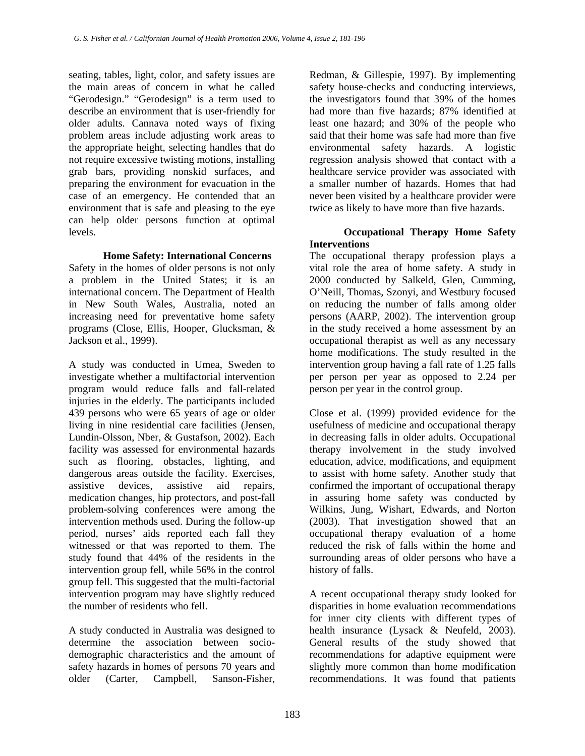seating, tables, light, color, and safety issues are the main areas of concern in what he called "Gerodesign." "Gerodesign" is a term used to describe an environment that is user-friendly for older adults. Cannava noted ways of fixing problem areas include adjusting work areas to the appropriate height, selecting handles that do not require excessive twisting motions, installing grab bars, providing nonskid surfaces, and preparing the environment for evacuation in the case of an emergency. He contended that an environment that is safe and pleasing to the eye can help older persons function at optimal levels.

## **Home Safety: International Concerns**

Safety in the homes of older persons is not only a problem in the United States; it is an international concern. The Department of Health in New South Wales, Australia, noted an increasing need for preventative home safety programs (Close, Ellis, Hooper, Glucksman, & Jackson et al., 1999).

A study was conducted in Umea, Sweden to investigate whether a multifactorial intervention program would reduce falls and fall-related injuries in the elderly. The participants included 439 persons who were 65 years of age or older living in nine residential care facilities (Jensen, Lundin-Olsson, Nber, & Gustafson, 2002). Each facility was assessed for environmental hazards such as flooring, obstacles, lighting, and dangerous areas outside the facility. Exercises, assistive devices, assistive aid repairs, medication changes, hip protectors, and post-fall problem-solving conferences were among the intervention methods used. During the follow-up period, nurses' aids reported each fall they witnessed or that was reported to them. The study found that 44% of the residents in the intervention group fell, while 56% in the control group fell. This suggested that the multi-factorial intervention program may have slightly reduced the number of residents who fell.

A study conducted in Australia was designed to determine the association between sociodemographic characteristics and the amount of safety hazards in homes of persons 70 years and older (Carter, Campbell, Sanson-Fisher,

Redman, & Gillespie, 1997). By implementing safety house-checks and conducting interviews, the investigators found that 39% of the homes had more than five hazards; 87% identified at least one hazard; and 30% of the people who said that their home was safe had more than five environmental safety hazards. A logistic regression analysis showed that contact with a healthcare service provider was associated with a smaller number of hazards. Homes that had never been visited by a healthcare provider were twice as likely to have more than five hazards.

# **Occupational Therapy Home Safety Interventions**

The occupational therapy profession plays a vital role the area of home safety. A study in 2000 conducted by Salkeld, Glen, Cumming, O'Neill, Thomas, Szonyi, and Westbury focused on reducing the number of falls among older persons (AARP, 2002). The intervention group in the study received a home assessment by an occupational therapist as well as any necessary home modifications. The study resulted in the intervention group having a fall rate of 1.25 falls per person per year as opposed to 2.24 per person per year in the control group.

Close et al. (1999) provided evidence for the usefulness of medicine and occupational therapy in decreasing falls in older adults. Occupational therapy involvement in the study involved education, advice, modifications, and equipment to assist with home safety. Another study that confirmed the important of occupational therapy in assuring home safety was conducted by Wilkins, Jung, Wishart, Edwards, and Norton (2003). That investigation showed that an occupational therapy evaluation of a home reduced the risk of falls within the home and surrounding areas of older persons who have a history of falls.

A recent occupational therapy study looked for disparities in home evaluation recommendations for inner city clients with different types of health insurance (Lysack & Neufeld, 2003). General results of the study showed that recommendations for adaptive equipment were slightly more common than home modification recommendations. It was found that patients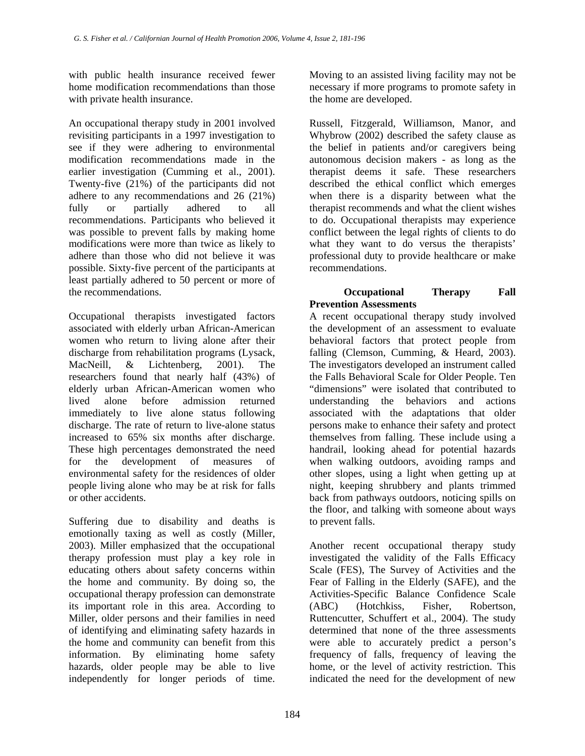with public health insurance received fewer home modification recommendations than those with private health insurance.

An occupational therapy study in 2001 involved revisiting participants in a 1997 investigation to see if they were adhering to environmental modification recommendations made in the earlier investigation (Cumming et al., 2001). Twenty-five (21%) of the participants did not adhere to any recommendations and 26 (21%) fully or partially adhered to all recommendations. Participants who believed it was possible to prevent falls by making home modifications were more than twice as likely to adhere than those who did not believe it was possible. Sixty-five percent of the participants at least partially adhered to 50 percent or more of the recommendations.

Occupational therapists investigated factors associated with elderly urban African-American women who return to living alone after their discharge from rehabilitation programs (Lysack, MacNeill, & Lichtenberg, 2001). The researchers found that nearly half (43%) of elderly urban African-American women who lived alone before admission returned immediately to live alone status following discharge. The rate of return to live-alone status increased to 65% six months after discharge. These high percentages demonstrated the need for the development of measures of environmental safety for the residences of older people living alone who may be at risk for falls or other accidents.

Suffering due to disability and deaths is emotionally taxing as well as costly (Miller, 2003). Miller emphasized that the occupational therapy profession must play a key role in educating others about safety concerns within the home and community. By doing so, the occupational therapy profession can demonstrate its important role in this area. According to Miller, older persons and their families in need of identifying and eliminating safety hazards in the home and community can benefit from this information. By eliminating home safety hazards, older people may be able to live independently for longer periods of time.

Moving to an assisted living facility may not be necessary if more programs to promote safety in the home are developed.

Russell, Fitzgerald, Williamson, Manor, and Whybrow (2002) described the safety clause as the belief in patients and/or caregivers being autonomous decision makers - as long as the therapist deems it safe. These researchers described the ethical conflict which emerges when there is a disparity between what the therapist recommends and what the client wishes to do. Occupational therapists may experience conflict between the legal rights of clients to do what they want to do versus the therapists' professional duty to provide healthcare or make recommendations.

# **Occupational Therapy Fall Prevention Assessments**

A recent occupational therapy study involved the development of an assessment to evaluate behavioral factors that protect people from falling (Clemson, Cumming, & Heard, 2003). The investigators developed an instrument called the Falls Behavioral Scale for Older People. Ten "dimensions" were isolated that contributed to understanding the behaviors and actions associated with the adaptations that older persons make to enhance their safety and protect themselves from falling. These include using a handrail, looking ahead for potential hazards when walking outdoors, avoiding ramps and other slopes, using a light when getting up at night, keeping shrubbery and plants trimmed back from pathways outdoors, noticing spills on the floor, and talking with someone about ways to prevent falls.

Another recent occupational therapy study investigated the validity of the Falls Efficacy Scale (FES), The Survey of Activities and the Fear of Falling in the Elderly (SAFE), and the Activities-Specific Balance Confidence Scale (ABC) (Hotchkiss, Fisher, Robertson, Ruttencutter, Schuffert et al., 2004). The study determined that none of the three assessments were able to accurately predict a person's frequency of falls, frequency of leaving the home, or the level of activity restriction. This indicated the need for the development of new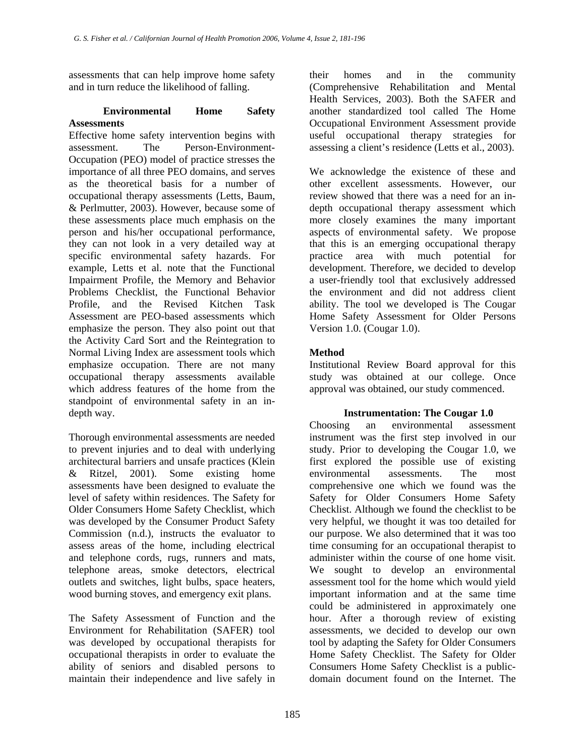assessments that can help improve home safety and in turn reduce the likelihood of falling.

## **Environmental Home Safety Assessments**

Effective home safety intervention begins with assessment. The Person-Environment-Occupation (PEO) model of practice stresses the importance of all three PEO domains, and serves as the theoretical basis for a number of occupational therapy assessments (Letts, Baum, & Perlmutter, 2003). However, because some of these assessments place much emphasis on the person and his/her occupational performance, they can not look in a very detailed way at specific environmental safety hazards. For example, Letts et al. note that the Functional Impairment Profile, the Memory and Behavior Problems Checklist, the Functional Behavior Profile, and the Revised Kitchen Task Assessment are PEO-based assessments which emphasize the person. They also point out that the Activity Card Sort and the Reintegration to Normal Living Index are assessment tools which emphasize occupation. There are not many occupational therapy assessments available which address features of the home from the standpoint of environmental safety in an indepth way.

Thorough environmental assessments are needed to prevent injuries and to deal with underlying architectural barriers and unsafe practices (Klein & Ritzel, 2001). Some existing home assessments have been designed to evaluate the level of safety within residences. The Safety for Older Consumers Home Safety Checklist, which was developed by the Consumer Product Safety Commission (n.d.), instructs the evaluator to assess areas of the home, including electrical and telephone cords, rugs, runners and mats, telephone areas, smoke detectors, electrical outlets and switches, light bulbs, space heaters, wood burning stoves, and emergency exit plans.

The Safety Assessment of Function and the Environment for Rehabilitation (SAFER) tool was developed by occupational therapists for occupational therapists in order to evaluate the ability of seniors and disabled persons to maintain their independence and live safely in

their homes and in the community (Comprehensive Rehabilitation and Mental Health Services, 2003). Both the SAFER and another standardized tool called The Home Occupational Environment Assessment provide useful occupational therapy strategies for assessing a client's residence (Letts et al., 2003).

We acknowledge the existence of these and other excellent assessments. However, our review showed that there was a need for an indepth occupational therapy assessment which more closely examines the many important aspects of environmental safety. We propose that this is an emerging occupational therapy practice area with much potential for development. Therefore, we decided to develop a user-friendly tool that exclusively addressed the environment and did not address client ability. The tool we developed is The Cougar Home Safety Assessment for Older Persons Version 1.0. (Cougar 1.0).

# **Method**

Institutional Review Board approval for this study was obtained at our college. Once approval was obtained, our study commenced.

# **Instrumentation: The Cougar 1.0**

Choosing an environmental assessment instrument was the first step involved in our study. Prior to developing the Cougar 1.0, we first explored the possible use of existing environmental assessments. The most comprehensive one which we found was the Safety for Older Consumers Home Safety Checklist. Although we found the checklist to be very helpful, we thought it was too detailed for our purpose. We also determined that it was too time consuming for an occupational therapist to administer within the course of one home visit. We sought to develop an environmental assessment tool for the home which would yield important information and at the same time could be administered in approximately one hour. After a thorough review of existing assessments, we decided to develop our own tool by adapting the Safety for Older Consumers Home Safety Checklist. The Safety for Older Consumers Home Safety Checklist is a publicdomain document found on the Internet. The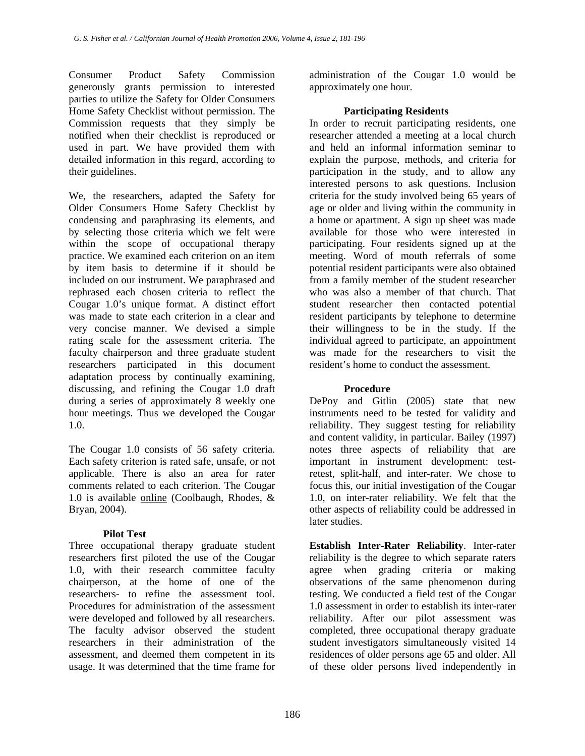Consumer Product Safety Commission generously grants permission to interested parties to utilize the Safety for Older Consumers Home Safety Checklist without permission. The Commission requests that they simply be notified when their checklist is reproduced or used in part. We have provided them with detailed information in this regard, according to their guidelines.

We, the researchers, adapted the Safety for Older Consumers Home Safety Checklist by condensing and paraphrasing its elements, and by selecting those criteria which we felt were within the scope of occupational therapy practice. We examined each criterion on an item by item basis to determine if it should be included on our instrument. We paraphrased and rephrased each chosen criteria to reflect the Cougar 1.0's unique format. A distinct effort was made to state each criterion in a clear and very concise manner. We devised a simple rating scale for the assessment criteria. The faculty chairperson and three graduate student researchers participated in this document adaptation process by continually examining, discussing, and refining the Cougar 1.0 draft during a series of approximately 8 weekly one hour meetings. Thus we developed the Cougar 1.0.

The Cougar 1.0 consists of 56 safety criteria. Each safety criterion is rated safe, unsafe, or not applicable. There is also an area for rater comments related to each criterion. The Cougar 1.0 is available [online](http://www.misericordia.edu/images/ot/Version 1.0.pdf) (Coolbaugh, Rhodes, & Bryan, 2004).

#### **Pilot Test**

Three occupational therapy graduate student researchers first piloted the use of the Cougar 1.0, with their research committee faculty chairperson, at the home of one of the researchers- to refine the assessment tool. Procedures for administration of the assessment were developed and followed by all researchers. The faculty advisor observed the student researchers in their administration of the assessment, and deemed them competent in its usage. It was determined that the time frame for

administration of the Cougar 1.0 would be approximately one hour.

## **Participating Residents**

In order to recruit participating residents, one researcher attended a meeting at a local church and held an informal information seminar to explain the purpose, methods, and criteria for participation in the study, and to allow any interested persons to ask questions. Inclusion criteria for the study involved being 65 years of age or older and living within the community in a home or apartment. A sign up sheet was made available for those who were interested in participating. Four residents signed up at the meeting. Word of mouth referrals of some potential resident participants were also obtained from a family member of the student researcher who was also a member of that church. That student researcher then contacted potential resident participants by telephone to determine their willingness to be in the study. If the individual agreed to participate, an appointment was made for the researchers to visit the resident's home to conduct the assessment.

#### **Procedure**

DePoy and Gitlin (2005) state that new instruments need to be tested for validity and reliability. They suggest testing for reliability and content validity, in particular. Bailey (1997) notes three aspects of reliability that are important in instrument development: testretest, split-half, and inter-rater. We chose to focus this, our initial investigation of the Cougar 1.0, on inter-rater reliability. We felt that the other aspects of reliability could be addressed in later studies.

**Establish Inter-Rater Reliability**. Inter-rater reliability is the degree to which separate raters agree when grading criteria or making observations of the same phenomenon during testing. We conducted a field test of the Cougar 1.0 assessment in order to establish its inter-rater reliability. After our pilot assessment was completed, three occupational therapy graduate student investigators simultaneously visited 14 residences of older persons age 65 and older. All of these older persons lived independently in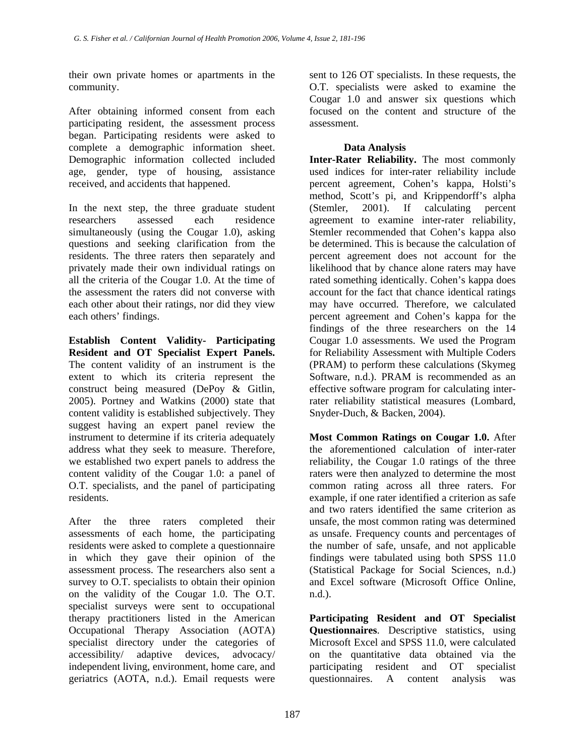their own private homes or apartments in the community.

After obtaining informed consent from each participating resident, the assessment process began. Participating residents were asked to complete a demographic information sheet. Demographic information collected included age, gender, type of housing, assistance received, and accidents that happened.

In the next step, the three graduate student researchers assessed each residence simultaneously (using the Cougar 1.0), asking questions and seeking clarification from the residents. The three raters then separately and privately made their own individual ratings on all the criteria of the Cougar 1.0. At the time of the assessment the raters did not converse with each other about their ratings, nor did they view each others' findings.

**Establish Content Validity- Participating Resident and OT Specialist Expert Panels.** The content validity of an instrument is the extent to which its criteria represent the construct being measured (DePoy & Gitlin, 2005). Portney and Watkins (2000) state that content validity is established subjectively. They suggest having an expert panel review the instrument to determine if its criteria adequately address what they seek to measure. Therefore, we established two expert panels to address the content validity of the Cougar 1.0: a panel of O.T. specialists, and the panel of participating residents.

After the three raters completed their assessments of each home, the participating residents were asked to complete a questionnaire in which they gave their opinion of the assessment process. The researchers also sent a survey to O.T. specialists to obtain their opinion on the validity of the Cougar 1.0. The O.T. specialist surveys were sent to occupational therapy practitioners listed in the American Occupational Therapy Association (AOTA) specialist directory under the categories of accessibility/ adaptive devices, advocacy/ independent living, environment, home care, and geriatrics (AOTA, n.d.). Email requests were

sent to 126 OT specialists. In these requests, the O.T. specialists were asked to examine the Cougar 1.0 and answer six questions which focused on the content and structure of the assessment.

# **Data Analysis**

**Inter-Rater Reliability.** The most commonly used indices for inter-rater reliability include percent agreement, Cohen's kappa, Holsti's method, Scott's pi, and Krippendorff's alpha (Stemler, 2001). If calculating percent agreement to examine inter-rater reliability, Stemler recommended that Cohen's kappa also be determined. This is because the calculation of percent agreement does not account for the likelihood that by chance alone raters may have rated something identically. Cohen's kappa does account for the fact that chance identical ratings may have occurred. Therefore, we calculated percent agreement and Cohen's kappa for the findings of the three researchers on the 14 Cougar 1.0 assessments. We used the Program for Reliability Assessment with Multiple Coders (PRAM) to perform these calculations (Skymeg Software, n.d.). PRAM is recommended as an effective software program for calculating interrater reliability statistical measures (Lombard, Snyder-Duch, & Backen, 2004).

**Most Common Ratings on Cougar 1.0.** After the aforementioned calculation of inter-rater reliability, the Cougar 1.0 ratings of the three raters were then analyzed to determine the most common rating across all three raters. For example, if one rater identified a criterion as safe and two raters identified the same criterion as unsafe, the most common rating was determined as unsafe. Frequency counts and percentages of the number of safe, unsafe, and not applicable findings were tabulated using both SPSS 11.0 (Statistical Package for Social Sciences, n.d.) and Excel software (Microsoft Office Online, n.d.).

**Participating Resident and OT Specialist Questionnaires**. Descriptive statistics, using Microsoft Excel and SPSS 11.0, were calculated on the quantitative data obtained via the participating resident and OT specialist questionnaires. A content analysis was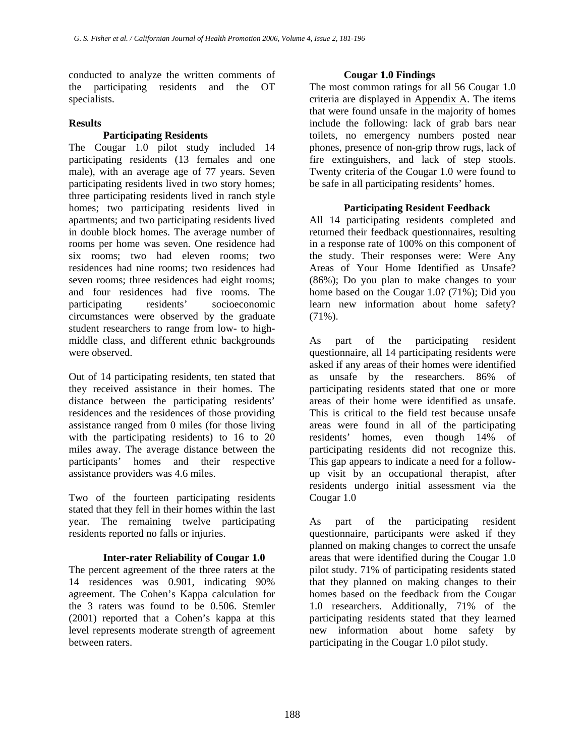conducted to analyze the written comments of the participating residents and the OT specialists.

## **Results**

# **Participating Residents**

The Cougar 1.0 pilot study included 14 participating residents (13 females and one male), with an average age of 77 years. Seven participating residents lived in two story homes; three participating residents lived in ranch style homes; two participating residents lived in apartments; and two participating residents lived in double block homes. The average number of rooms per home was seven. One residence had six rooms; two had eleven rooms; two residences had nine rooms; two residences had seven rooms; three residences had eight rooms; and four residences had five rooms. The participating residents' socioeconomic circumstances were observed by the graduate student researchers to range from low- to highmiddle class, and different ethnic backgrounds were observed.

Out of 14 participating residents, ten stated that they received assistance in their homes. The distance between the participating residents' residences and the residences of those providing assistance ranged from 0 miles (for those living with the participating residents) to 16 to 20 miles away. The average distance between the participants' homes and their respective assistance providers was 4.6 miles.

Two of the fourteen participating residents stated that they fell in their homes within the last year. The remaining twelve participating residents reported no falls or injuries.

#### **Inter-rater Reliability of Cougar 1.0**

The percent agreement of the three raters at the 14 residences was 0.901, indicating 90% agreement. The Cohen's Kappa calculation for the 3 raters was found to be 0.506. Stemler (2001) reported that a Cohen's kappa at this level represents moderate strength of agreement between raters.

# **Cougar 1.0 Findings**

The most common ratings for all 56 Cougar 1.0 criteria are displayed in [Appendix A.](#page-13-0) The items that were found unsafe in the majority of homes include the following: lack of grab bars near toilets, no emergency numbers posted near phones, presence of non-grip throw rugs, lack of fire extinguishers, and lack of step stools. Twenty criteria of the Cougar 1.0 were found to be safe in all participating residents' homes.

# **Participating Resident Feedback**

All 14 participating residents completed and returned their feedback questionnaires, resulting in a response rate of 100% on this component of the study. Their responses were: Were Any Areas of Your Home Identified as Unsafe? (86%); Do you plan to make changes to your home based on the Cougar 1.0? (71%); Did you learn new information about home safety?  $(71\%)$ .

As part of the participating resident questionnaire, all 14 participating residents were asked if any areas of their homes were identified as unsafe by the researchers. 86% of participating residents stated that one or more areas of their home were identified as unsafe. This is critical to the field test because unsafe areas were found in all of the participating residents' homes, even though 14% of participating residents did not recognize this. This gap appears to indicate a need for a followup visit by an occupational therapist, after residents undergo initial assessment via the Cougar 1.0

As part of the participating resident questionnaire, participants were asked if they planned on making changes to correct the unsafe areas that were identified during the Cougar 1.0 pilot study. 71% of participating residents stated that they planned on making changes to their homes based on the feedback from the Cougar 1.0 researchers. Additionally, 71% of the participating residents stated that they learned new information about home safety by participating in the Cougar 1.0 pilot study.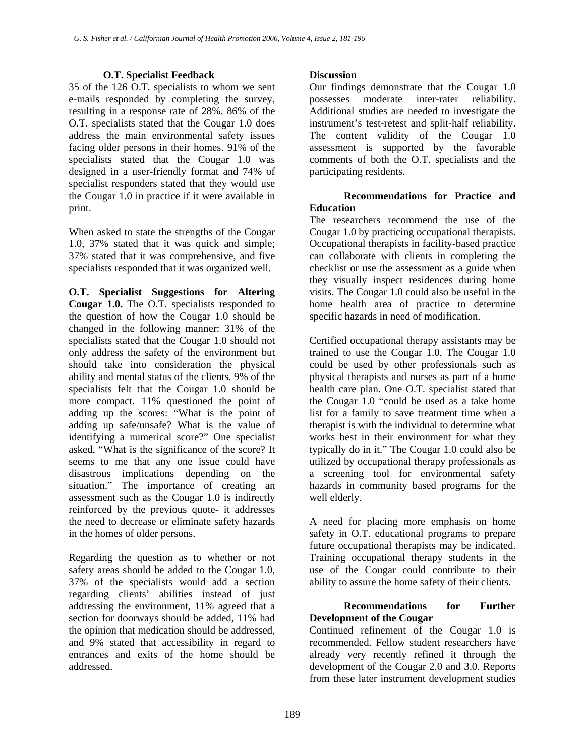#### **O.T. Specialist Feedback**

35 of the 126 O.T. specialists to whom we sent e-mails responded by completing the survey, resulting in a response rate of 28%. 86% of the O.T. specialists stated that the Cougar 1.0 does address the main environmental safety issues facing older persons in their homes. 91% of the specialists stated that the Cougar 1.0 was designed in a user-friendly format and 74% of specialist responders stated that they would use the Cougar 1.0 in practice if it were available in print.

When asked to state the strengths of the Cougar 1.0, 37% stated that it was quick and simple; 37% stated that it was comprehensive, and five specialists responded that it was organized well.

**O.T. Specialist Suggestions for Altering Cougar 1.0.** The O.T. specialists responded to the question of how the Cougar 1.0 should be changed in the following manner: 31% of the specialists stated that the Cougar 1.0 should not only address the safety of the environment but should take into consideration the physical ability and mental status of the clients. 9% of the specialists felt that the Cougar 1.0 should be more compact. 11% questioned the point of adding up the scores: "What is the point of adding up safe/unsafe? What is the value of identifying a numerical score?" One specialist asked, "What is the significance of the score? It seems to me that any one issue could have disastrous implications depending on the situation." The importance of creating an assessment such as the Cougar 1.0 is indirectly reinforced by the previous quote- it addresses the need to decrease or eliminate safety hazards in the homes of older persons.

Regarding the question as to whether or not safety areas should be added to the Cougar 1.0, 37% of the specialists would add a section regarding clients' abilities instead of just addressing the environment, 11% agreed that a section for doorways should be added, 11% had the opinion that medication should be addressed, and 9% stated that accessibility in regard to entrances and exits of the home should be addressed.

# **Discussion**

Our findings demonstrate that the Cougar 1.0 possesses moderate inter-rater reliability. Additional studies are needed to investigate the instrument's test-retest and split-half reliability. The content validity of the Cougar 1.0 assessment is supported by the favorable comments of both the O.T. specialists and the participating residents.

# **Recommendations for Practice and Education**

The researchers recommend the use of the Cougar 1.0 by practicing occupational therapists. Occupational therapists in facility-based practice can collaborate with clients in completing the checklist or use the assessment as a guide when they visually inspect residences during home visits. The Cougar 1.0 could also be useful in the home health area of practice to determine specific hazards in need of modification.

Certified occupational therapy assistants may be trained to use the Cougar 1.0. The Cougar 1.0 could be used by other professionals such as physical therapists and nurses as part of a home health care plan. One O.T. specialist stated that the Cougar 1.0 "could be used as a take home list for a family to save treatment time when a therapist is with the individual to determine what works best in their environment for what they typically do in it." The Cougar 1.0 could also be utilized by occupational therapy professionals as a screening tool for environmental safety hazards in community based programs for the well elderly.

A need for placing more emphasis on home safety in O.T. educational programs to prepare future occupational therapists may be indicated. Training occupational therapy students in the use of the Cougar could contribute to their ability to assure the home safety of their clients.

# **Recommendations for Further Development of the Cougar**

Continued refinement of the Cougar 1.0 is recommended. Fellow student researchers have already very recently refined it through the development of the Cougar 2.0 and 3.0. Reports from these later instrument development studies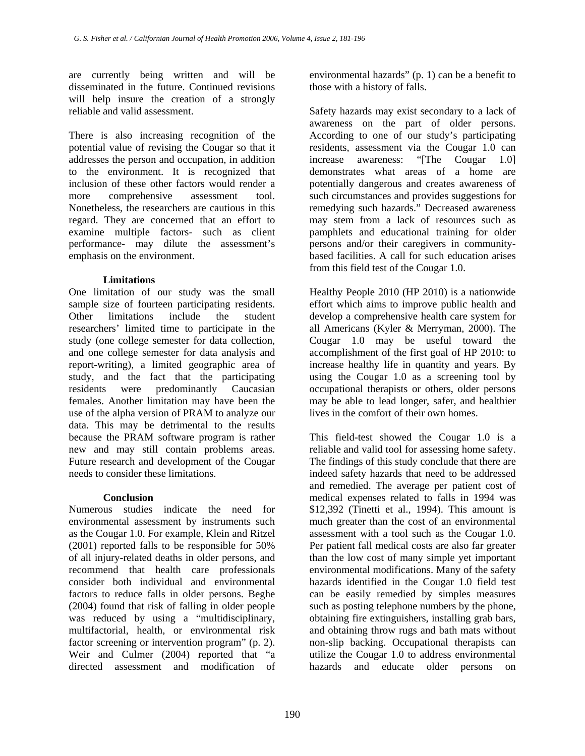are currently being written and will be disseminated in the future. Continued revisions will help insure the creation of a strongly reliable and valid assessment.

There is also increasing recognition of the potential value of revising the Cougar so that it addresses the person and occupation, in addition to the environment. It is recognized that inclusion of these other factors would render a more comprehensive assessment tool. Nonetheless, the researchers are cautious in this regard. They are concerned that an effort to examine multiple factors- such as client performance- may dilute the assessment's emphasis on the environment.

#### **Limitations**

One limitation of our study was the small sample size of fourteen participating residents. Other limitations include the student researchers' limited time to participate in the study (one college semester for data collection, and one college semester for data analysis and report-writing), a limited geographic area of study, and the fact that the participating residents were predominantly Caucasian females. Another limitation may have been the use of the alpha version of PRAM to analyze our data. This may be detrimental to the results because the PRAM software program is rather new and may still contain problems areas. Future research and development of the Cougar needs to consider these limitations.

# **Conclusion**

Numerous studies indicate the need for environmental assessment by instruments such as the Cougar 1.0. For example, Klein and Ritzel (2001) reported falls to be responsible for 50% of all injury-related deaths in older persons, and recommend that health care professionals consider both individual and environmental factors to reduce falls in older persons. Beghe (2004) found that risk of falling in older people was reduced by using a "multidisciplinary, multifactorial, health, or environmental risk factor screening or intervention program" (p. 2). Weir and Culmer (2004) reported that "a directed assessment and modification of

environmental hazards" (p. 1) can be a benefit to those with a history of falls.

Safety hazards may exist secondary to a lack of awareness on the part of older persons. According to one of our study's participating residents, assessment via the Cougar 1.0 can increase awareness: "[The Cougar 1.0] demonstrates what areas of a home are potentially dangerous and creates awareness of such circumstances and provides suggestions for remedying such hazards." Decreased awareness may stem from a lack of resources such as pamphlets and educational training for older persons and/or their caregivers in communitybased facilities. A call for such education arises from this field test of the Cougar 1.0.

Healthy People 2010 (HP 2010) is a nationwide effort which aims to improve public health and develop a comprehensive health care system for all Americans (Kyler & Merryman, 2000). The Cougar 1.0 may be useful toward the accomplishment of the first goal of HP 2010: to increase healthy life in quantity and years. By using the Cougar 1.0 as a screening tool by occupational therapists or others, older persons may be able to lead longer, safer, and healthier lives in the comfort of their own homes.

This field-test showed the Cougar 1.0 is a reliable and valid tool for assessing home safety. The findings of this study conclude that there are indeed safety hazards that need to be addressed and remedied. The average per patient cost of medical expenses related to falls in 1994 was \$12,392 (Tinetti et al., 1994). This amount is much greater than the cost of an environmental assessment with a tool such as the Cougar 1.0. Per patient fall medical costs are also far greater than the low cost of many simple yet important environmental modifications. Many of the safety hazards identified in the Cougar 1.0 field test can be easily remedied by simples measures such as posting telephone numbers by the phone, obtaining fire extinguishers, installing grab bars, and obtaining throw rugs and bath mats without non-slip backing. Occupational therapists can utilize the Cougar 1.0 to address environmental hazards and educate older persons on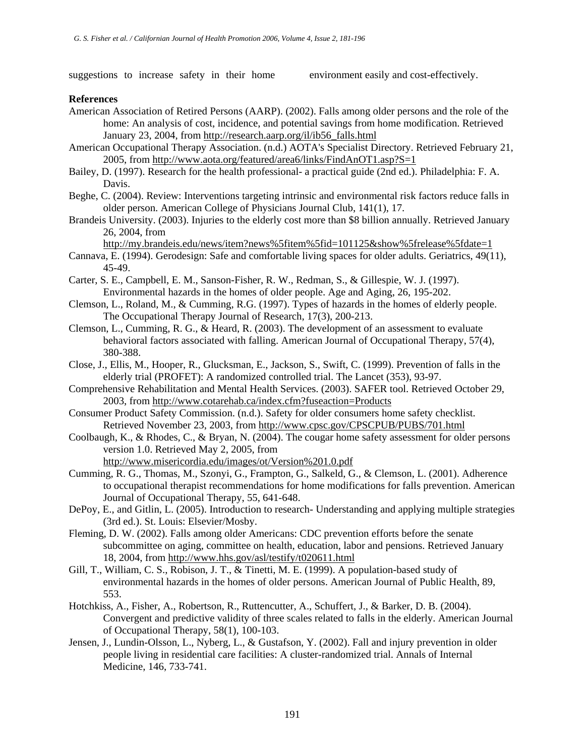suggestions to increase safety in their home environment easily and cost-effectively.

#### **References**

- American Association of Retired Persons (AARP). (2002). Falls among older persons and the role of the home: An analysis of cost, incidence, and potential savings from home modification. Retrieved January 23, 2004, from [http://research.aarp.org/il/ib56\\_falls.html](http://research.aarp.org/il/ib56_falls.html)
- American Occupational Therapy Association. (n.d.) AOTA's Specialist Directory. Retrieved February 21, 2005, from <http://www.aota.org/featured/area6/links/FindAnOT1.asp?S=1>
- Bailey, D. (1997). Research for the health professional- a practical guide (2nd ed.). Philadelphia: F. A. Davis.
- Beghe, C. (2004). Review: Interventions targeting intrinsic and environmental risk factors reduce falls in older person. American College of Physicians Journal Club, 141(1), 17.
- Brandeis University. (2003). Injuries to the elderly cost more than \$8 billion annually. Retrieved January 26, 2004, from

<http://my.brandeis.edu/news/item?news%5fitem%5fid=101125&show%5frelease%5fdate=1>

- Cannava, E. (1994). Gerodesign: Safe and comfortable living spaces for older adults. Geriatrics, 49(11), 45-49.
- Carter, S. E., Campbell, E. M., Sanson-Fisher, R. W., Redman, S., & Gillespie, W. J. (1997). Environmental hazards in the homes of older people. Age and Aging, 26, 195-202.
- Clemson, L., Roland, M., & Cumming, R.G. (1997). Types of hazards in the homes of elderly people. The Occupational Therapy Journal of Research, 17(3), 200-213.
- Clemson, L., Cumming, R. G., & Heard, R. (2003). The development of an assessment to evaluate behavioral factors associated with falling. American Journal of Occupational Therapy, 57(4), 380-388.
- Close, J., Ellis, M., Hooper, R., Glucksman, E., Jackson, S., Swift, C. (1999). Prevention of falls in the elderly trial (PROFET): A randomized controlled trial. The Lancet (353), 93-97.
- Comprehensive Rehabilitation and Mental Health Services. (2003). SAFER tool. Retrieved October 29, 2003, from <http://www.cotarehab.ca/index.cfm?fuseaction=Products>
- Consumer Product Safety Commission. (n.d.). Safety for older consumers home safety checklist. Retrieved November 23, 2003, from <http://www.cpsc.gov/CPSCPUB/PUBS/701.html>
- Coolbaugh, K., & Rhodes, C., & Bryan, N. (2004). The cougar home safety assessment for older persons version 1.0. Retrieved May 2, 2005, from [http://www.misericordia.edu/images/ot/Version%201.0.pdf](http://www.misericordia.edu/images/ot/Version 1.0.pdf)
- Cumming, R. G., Thomas, M., Szonyi, G., Frampton, G., Salkeld, G., & Clemson, L. (2001). Adherence to occupational therapist recommendations for home modifications for falls prevention. American Journal of Occupational Therapy, 55, 641-648.
- DePoy, E., and Gitlin, L. (2005). Introduction to research- Understanding and applying multiple strategies (3rd ed.). St. Louis: Elsevier/Mosby.
- Fleming, D. W. (2002). Falls among older Americans: CDC prevention efforts before the senate subcommittee on aging, committee on health, education, labor and pensions. Retrieved January 18, 2004, from <http://www.hhs.gov/asl/testify/t020611.html>
- Gill, T., William, C. S., Robison, J. T., & Tinetti, M. E. (1999). A population-based study of environmental hazards in the homes of older persons. American Journal of Public Health, 89, 553.
- Hotchkiss, A., Fisher, A., Robertson, R., Ruttencutter, A., Schuffert, J., & Barker, D. B. (2004). Convergent and predictive validity of three scales related to falls in the elderly. American Journal of Occupational Therapy, 58(1), 100-103.
- Jensen, J., Lundin-Olsson, L., Nyberg, L., & Gustafson, Y. (2002). Fall and injury prevention in older people living in residential care facilities: A cluster-randomized trial. Annals of Internal Medicine, 146, 733-741.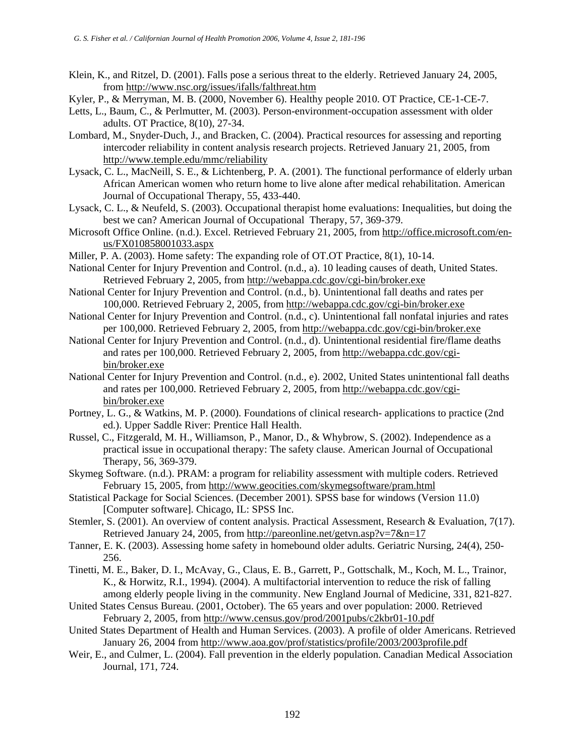- Klein, K., and Ritzel, D. (2001). Falls pose a serious threat to the elderly. Retrieved January 24, 2005, from <http://www.nsc.org/issues/ifalls/falthreat.htm>
- Kyler, P., & Merryman, M. B. (2000, November 6). Healthy people 2010. OT Practice, CE-1-CE-7.
- Letts, L., Baum, C., & Perlmutter, M. (2003). Person-environment-occupation assessment with older adults. OT Practice, 8(10), 27-34.
- Lombard, M., Snyder-Duch, J., and Bracken, C. (2004). Practical resources for assessing and reporting intercoder reliability in content analysis research projects. Retrieved January 21, 2005, from <http://www.temple.edu/mmc/reliability>
- Lysack, C. L., MacNeill, S. E., & Lichtenberg, P. A. (2001). The functional performance of elderly urban African American women who return home to live alone after medical rehabilitation. American Journal of Occupational Therapy, 55, 433-440.
- Lysack, C. L., & Neufeld, S. (2003). Occupational therapist home evaluations: Inequalities, but doing the best we can? American Journal of Occupational Therapy, 57, 369-379.
- Microsoft Office Online. (n.d.). Excel. Retrieved February 21, 2005, from [http://office.microsoft.com/en](http://office.microsoft.com/en-us/FX010858001033.aspx)[us/FX010858001033.aspx](http://office.microsoft.com/en-us/FX010858001033.aspx)
- Miller, P. A. (2003). Home safety: The expanding role of OT.OT Practice, 8(1), 10-14.
- National Center for Injury Prevention and Control. (n.d., a). 10 leading causes of death, United States. Retrieved February 2, 2005, from <http://webappa.cdc.gov/cgi-bin/broker.exe>
- National Center for Injury Prevention and Control. (n.d., b). Unintentional fall deaths and rates per 100,000. Retrieved February 2, 2005, from <http://webappa.cdc.gov/cgi-bin/broker.exe>
- National Center for Injury Prevention and Control. (n.d., c). Unintentional fall nonfatal injuries and rates per 100,000. Retrieved February 2, 2005, from <http://webappa.cdc.gov/cgi-bin/broker.exe>
- National Center for Injury Prevention and Control. (n.d., d). Unintentional residential fire/flame deaths and rates per 100,000. Retrieved February 2, 2005, from [http://webappa.cdc.gov/cgi](http://webappa.cdc.gov/cgi-bin/broker.exe)[bin/broker.exe](http://webappa.cdc.gov/cgi-bin/broker.exe)
- National Center for Injury Prevention and Control. (n.d., e). 2002, United States unintentional fall deaths and rates per 100,000. Retrieved February 2, 2005, from [http://webappa.cdc.gov/cgi](http://webappa.cdc.gov/cgi-bin/broker.exe)[bin/broker.exe](http://webappa.cdc.gov/cgi-bin/broker.exe)
- Portney, L. G., & Watkins, M. P. (2000). Foundations of clinical research- applications to practice (2nd ed.). Upper Saddle River: Prentice Hall Health.
- Russel, C., Fitzgerald, M. H., Williamson, P., Manor, D., & Whybrow, S. (2002). Independence as a practical issue in occupational therapy: The safety clause. American Journal of Occupational Therapy, 56, 369-379.
- Skymeg Software. (n.d.). PRAM: a program for reliability assessment with multiple coders. Retrieved February 15, 2005, from <http://www.geocities.com/skymegsoftware/pram.html>
- Statistical Package for Social Sciences. (December 2001). SPSS base for windows (Version 11.0) [Computer software]. Chicago, IL: SPSS Inc.
- Stemler, S. (2001). An overview of content analysis. Practical Assessment, Research & Evaluation, 7(17). Retrieved January 24, 2005, from <http://pareonline.net/getvn.asp?v=7&n=17>
- Tanner, E. K. (2003). Assessing home safety in homebound older adults. Geriatric Nursing, 24(4), 250- 256.
- Tinetti, M. E., Baker, D. I., McAvay, G., Claus, E. B., Garrett, P., Gottschalk, M., Koch, M. L., Trainor, K., & Horwitz, R.I., 1994). (2004). A multifactorial intervention to reduce the risk of falling among elderly people living in the community. New England Journal of Medicine, 331, 821-827.
- United States Census Bureau. (2001, October). The 65 years and over population: 2000. Retrieved February 2, 2005, from <http://www.census.gov/prod/2001pubs/c2kbr01-10.pdf>
- United States Department of Health and Human Services. (2003). A profile of older Americans. Retrieved January 26, 2004 from <http://www.aoa.gov/prof/statistics/profile/2003/2003profile.pdf>
- Weir, E., and Culmer, L. (2004). Fall prevention in the elderly population. Canadian Medical Association Journal, 171, 724.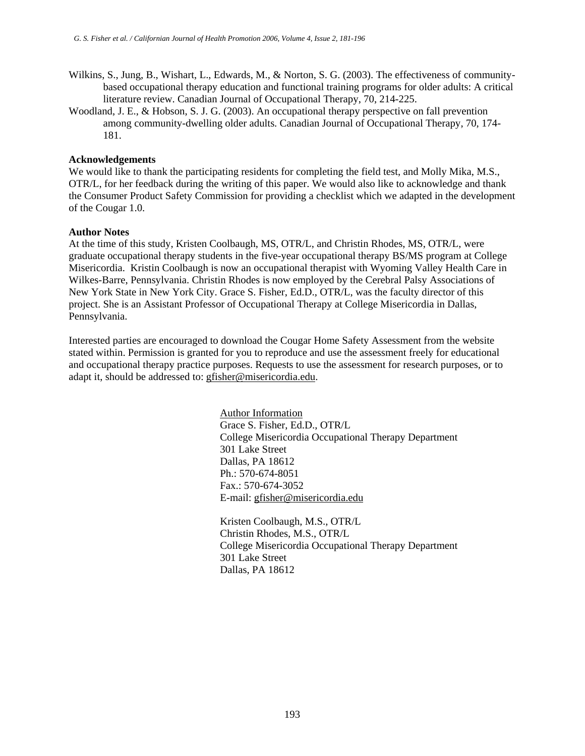- Wilkins, S., Jung, B., Wishart, L., Edwards, M., & Norton, S. G. (2003). The effectiveness of communitybased occupational therapy education and functional training programs for older adults: A critical literature review. Canadian Journal of Occupational Therapy, 70, 214-225.
- Woodland, J. E., & Hobson, S. J. G. (2003). An occupational therapy perspective on fall prevention among community-dwelling older adults. Canadian Journal of Occupational Therapy, 70, 174- 181.

#### **Acknowledgements**

We would like to thank the participating residents for completing the field test, and Molly Mika, M.S., OTR/L, for her feedback during the writing of this paper. We would also like to acknowledge and thank the Consumer Product Safety Commission for providing a checklist which we adapted in the development of the Cougar 1.0.

#### **Author Notes**

At the time of this study, Kristen Coolbaugh, MS, OTR/L, and Christin Rhodes, MS, OTR/L, were graduate occupational therapy students in the five-year occupational therapy BS/MS program at College Misericordia. Kristin Coolbaugh is now an occupational therapist with Wyoming Valley Health Care in Wilkes-Barre, Pennsylvania. Christin Rhodes is now employed by the Cerebral Palsy Associations of New York State in New York City. Grace S. Fisher, Ed.D., OTR/L, was the faculty director of this project. She is an Assistant Professor of Occupational Therapy at College Misericordia in Dallas, Pennsylvania.

Interested parties are encouraged to download the Cougar Home Safety Assessment from the website stated within. Permission is granted for you to reproduce and use the assessment freely for educational and occupational therapy practice purposes. Requests to use the assessment for research purposes, or to adapt it, should be addressed to: [gfisher@misericordia.edu](mailto:gfisher@misericordia.edu).

> Author Information Grace S. Fisher, Ed.D., OTR/L College Misericordia Occupational Therapy Department 301 Lake Street Dallas, PA 18612 Ph.: 570-674-8051 Fax.: 570-674-3052 E-mail: [gfisher@misericordia.edu](mailto:gfisher@misericordia.edu)

> Kristen Coolbaugh, M.S., OTR/L Christin Rhodes, M.S., OTR/L College Misericordia Occupational Therapy Department 301 Lake Street Dallas, PA 18612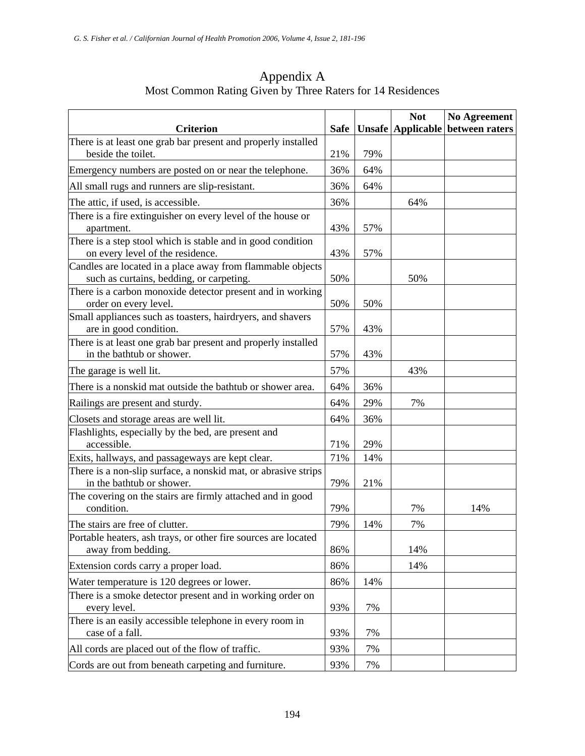<span id="page-13-0"></span>

| <b>Criterion</b>                                                                                       | <b>Safe</b> |     | <b>Not</b><br><b>Unsafe Applicable</b> | <b>No Agreement</b><br>between raters |
|--------------------------------------------------------------------------------------------------------|-------------|-----|----------------------------------------|---------------------------------------|
| There is at least one grab bar present and properly installed<br>beside the toilet.                    | 21%         | 79% |                                        |                                       |
| Emergency numbers are posted on or near the telephone.                                                 | 36%         | 64% |                                        |                                       |
| All small rugs and runners are slip-resistant.                                                         | 36%         | 64% |                                        |                                       |
| The attic, if used, is accessible.                                                                     | 36%         |     | 64%                                    |                                       |
| There is a fire extinguisher on every level of the house or<br>apartment.                              | 43%         | 57% |                                        |                                       |
| There is a step stool which is stable and in good condition<br>on every level of the residence.        | 43%         | 57% |                                        |                                       |
| Candles are located in a place away from flammable objects<br>such as curtains, bedding, or carpeting. | 50%         |     | 50%                                    |                                       |
| There is a carbon monoxide detector present and in working<br>order on every level.                    | 50%         | 50% |                                        |                                       |
| Small appliances such as toasters, hairdryers, and shavers<br>are in good condition.                   | 57%         | 43% |                                        |                                       |
| There is at least one grab bar present and properly installed<br>in the bathtub or shower.             | 57%         | 43% |                                        |                                       |
| The garage is well lit.                                                                                | 57%         |     | 43%                                    |                                       |
| There is a nonskid mat outside the bathtub or shower area.                                             | 64%         | 36% |                                        |                                       |
| Railings are present and sturdy.                                                                       | 64%         | 29% | 7%                                     |                                       |
| Closets and storage areas are well lit.                                                                | 64%         | 36% |                                        |                                       |
| Flashlights, especially by the bed, are present and<br>accessible.                                     | 71%         | 29% |                                        |                                       |
| Exits, hallways, and passageways are kept clear.                                                       | 71%         | 14% |                                        |                                       |
| There is a non-slip surface, a nonskid mat, or abrasive strips<br>in the bathtub or shower.            | 79%         | 21% |                                        |                                       |
| The covering on the stairs are firmly attached and in good<br>condition.                               | 79%         |     | 7%                                     | 14%                                   |
| The stairs are free of clutter.                                                                        | 79%         | 14% | 7%                                     |                                       |
| Portable heaters, ash trays, or other fire sources are located<br>away from bedding.                   | 86%         |     | 14%                                    |                                       |
| Extension cords carry a proper load.                                                                   | 86%         |     | 14%                                    |                                       |
| Water temperature is 120 degrees or lower.                                                             | 86%         | 14% |                                        |                                       |
| There is a smoke detector present and in working order on<br>every level.                              | 93%         | 7%  |                                        |                                       |
| There is an easily accessible telephone in every room in<br>case of a fall.                            | 93%         | 7%  |                                        |                                       |
| All cords are placed out of the flow of traffic.                                                       | 93%         | 7%  |                                        |                                       |

Appendix A Most Common Rating Given by Three Raters for 14 Residences

Cords are out from beneath carpeting and furniture. 93% 7%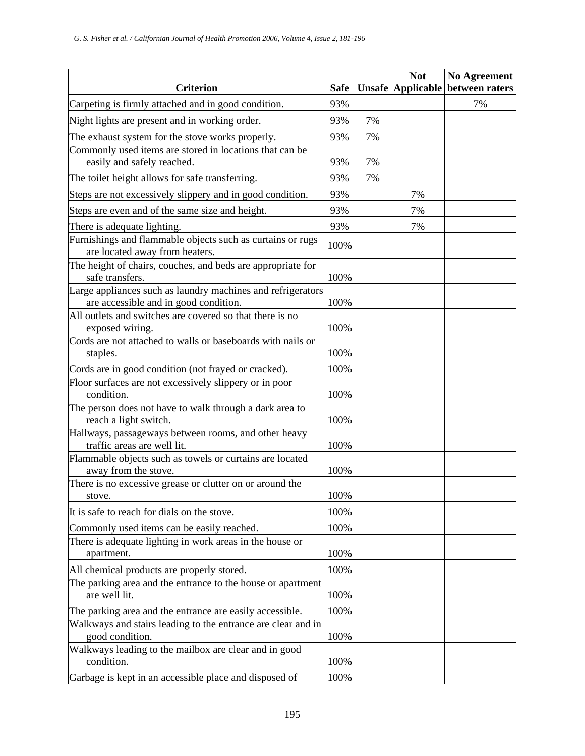| <b>Criterion</b>                                                                                     | <b>Safe</b> |    | <b>Not</b><br><b>Unsafe Applicable</b> | <b>No Agreement</b><br>between raters |
|------------------------------------------------------------------------------------------------------|-------------|----|----------------------------------------|---------------------------------------|
| Carpeting is firmly attached and in good condition.                                                  | 93%         |    |                                        | 7%                                    |
| Night lights are present and in working order.                                                       | 93%         | 7% |                                        |                                       |
| The exhaust system for the stove works properly.                                                     | 93%         | 7% |                                        |                                       |
| Commonly used items are stored in locations that can be                                              |             |    |                                        |                                       |
| easily and safely reached.                                                                           | 93%         | 7% |                                        |                                       |
| The toilet height allows for safe transferring.                                                      | 93%         | 7% |                                        |                                       |
| Steps are not excessively slippery and in good condition.                                            | 93%         |    | 7%                                     |                                       |
| Steps are even and of the same size and height.                                                      | 93%         |    | 7%                                     |                                       |
| There is adequate lighting.                                                                          | 93%         |    | 7%                                     |                                       |
| Furnishings and flammable objects such as curtains or rugs                                           | 100%        |    |                                        |                                       |
| are located away from heaters.                                                                       |             |    |                                        |                                       |
| The height of chairs, couches, and beds are appropriate for                                          |             |    |                                        |                                       |
| safe transfers.                                                                                      | 100%        |    |                                        |                                       |
| Large appliances such as laundry machines and refrigerators<br>are accessible and in good condition. | 100%        |    |                                        |                                       |
| All outlets and switches are covered so that there is no                                             |             |    |                                        |                                       |
| exposed wiring.                                                                                      | 100%        |    |                                        |                                       |
| Cords are not attached to walls or baseboards with nails or                                          |             |    |                                        |                                       |
| staples.                                                                                             | 100%        |    |                                        |                                       |
| Cords are in good condition (not frayed or cracked).                                                 | 100%        |    |                                        |                                       |
| Floor surfaces are not excessively slippery or in poor                                               |             |    |                                        |                                       |
| condition.                                                                                           | 100%        |    |                                        |                                       |
| The person does not have to walk through a dark area to                                              |             |    |                                        |                                       |
| reach a light switch.                                                                                | 100%        |    |                                        |                                       |
| Hallways, passageways between rooms, and other heavy<br>traffic areas are well lit.                  | 100%        |    |                                        |                                       |
| Flammable objects such as towels or curtains are located                                             |             |    |                                        |                                       |
| away from the stove.                                                                                 | 100%        |    |                                        |                                       |
| There is no excessive grease or clutter on or around the                                             |             |    |                                        |                                       |
| stove.                                                                                               | 100%        |    |                                        |                                       |
| It is safe to reach for dials on the stove.                                                          | 100%        |    |                                        |                                       |
| Commonly used items can be easily reached.                                                           | 100%        |    |                                        |                                       |
| There is adequate lighting in work areas in the house or<br>apartment.                               | 100%        |    |                                        |                                       |
| All chemical products are properly stored.                                                           | 100%        |    |                                        |                                       |
| The parking area and the entrance to the house or apartment                                          |             |    |                                        |                                       |
| are well lit.                                                                                        | 100%        |    |                                        |                                       |
| The parking area and the entrance are easily accessible.                                             | 100%        |    |                                        |                                       |
| Walkways and stairs leading to the entrance are clear and in                                         |             |    |                                        |                                       |
| good condition.                                                                                      | 100%        |    |                                        |                                       |
| Walkways leading to the mailbox are clear and in good<br>condition.                                  | 100%        |    |                                        |                                       |
| Garbage is kept in an accessible place and disposed of                                               | 100%        |    |                                        |                                       |